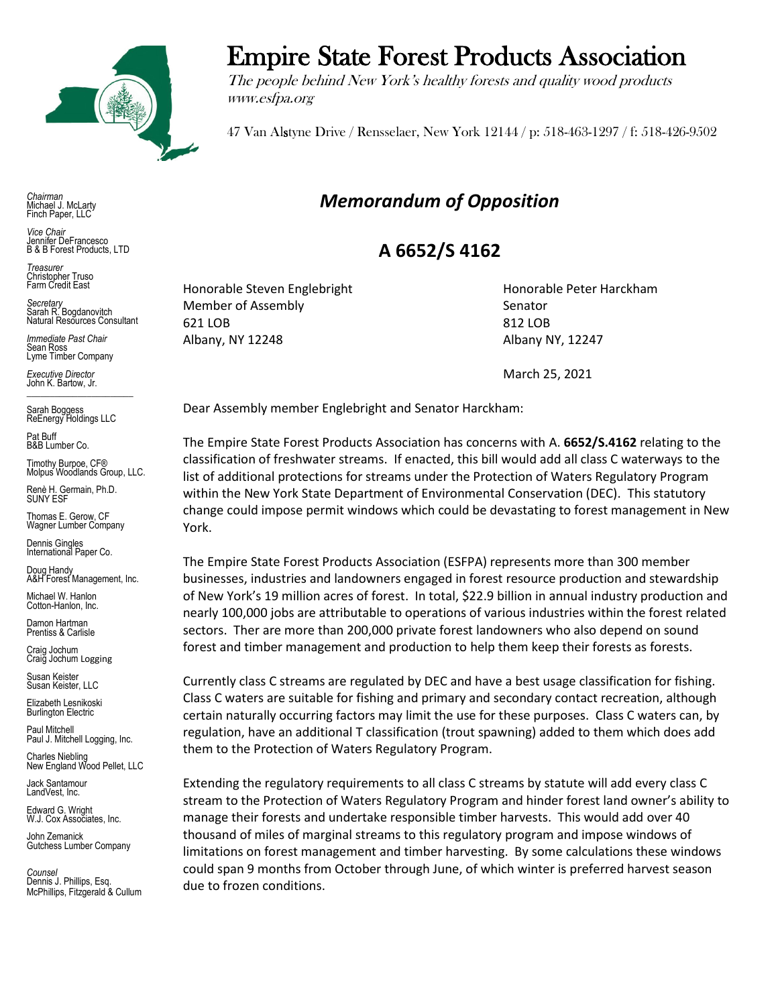

*Chairman* Michael J. McLarty Finch Paper, LLC

*Vice Chair* Jennifer DeFrancesco B & B Forest Products, LTD

*Treasurer* Christopher Truso Farm Credit East

*Secretary* Sarah R. Bogdanovitch Natural Resources Consultant

*Immediate Past Chair* Sean Ross Lyme Timber Company

*Executive Director* John K. Bartow, Jr.  $\mathcal{L}_\text{max}$  , we are the set of the set of the set of the set of the set of the set of the set of the set of the set of the set of the set of the set of the set of the set of the set of the set of the set of the set of

Sarah Boggess ReEnergy Holdings LLC

Pat Buff B&B Lumber Co.

Timothy Burpoe, CF® Molpus Woodlands Group, LLC.

Renè H. Germain, Ph.D. SUNY ESF

Thomas E. Gerow, CF Wagner Lumber Company

Dennis Gingles International Paper Co.

Doug Handy A&H Forest Management, Inc.

Michael W. Hanlon Cotton-Hanlon, Inc.

Damon Hartman Prentiss & Carlisle

Craig Jochum Craig Jochum Logging

Susan Keister Susan Keister, LLC

Elizabeth Lesnikoski **Burlington Electric** 

Paul Mitchell Paul J. Mitchell Logging, Inc.

Charles Niebling New England Wood Pellet, LLC

Jack Santamour LandVest, Inc.

Edward G. Wright W.J. Cox Associates, Inc.

John Zemanick Gutchess Lumber Company

*Counsel* Dennis J. Phillips, Esq. McPhillips, Fitzgerald & Cullum

## Empire State Forest Products Association

The people behind New York's healthy forests and quality wood products www.esfpa.org

47 Van Alstyne Drive / Rensselaer, New York 12144 / p: 518-463-1297 / f: 518-426-9502

## *Memorandum of Opposition*

## **A 6652/S 4162**

Member of Assembly Senator 621 LOB 812 LOB Albany, NY 12248 Albany NY, 12247

Honorable Steven Englebright **Honorable Peter Harckham** 

March 25, 2021

Dear Assembly member Englebright and Senator Harckham:

The Empire State Forest Products Association has concerns with A. **6652/S.4162** relating to the classification of freshwater streams. If enacted, this bill would add all class C waterways to the list of additional protections for streams under the Protection of Waters Regulatory Program within the New York State Department of Environmental Conservation (DEC). This statutory change could impose permit windows which could be devastating to forest management in New York.

The Empire State Forest Products Association (ESFPA) represents more than 300 member businesses, industries and landowners engaged in forest resource production and stewardship of New York's 19 million acres of forest. In total, \$22.9 billion in annual industry production and nearly 100,000 jobs are attributable to operations of various industries within the forest related sectors. Ther are more than 200,000 private forest landowners who also depend on sound forest and timber management and production to help them keep their forests as forests.

Currently class C streams are regulated by DEC and have a best usage classification for fishing. Class C waters are suitable for fishing and primary and secondary contact recreation, although certain naturally occurring factors may limit the use for these purposes. Class C waters can, by regulation, have an additional T classification (trout spawning) added to them which does add them to the Protection of Waters Regulatory Program.

Extending the regulatory requirements to all class C streams by statute will add every class C stream to the Protection of Waters Regulatory Program and hinder forest land owner's ability to manage their forests and undertake responsible timber harvests. This would add over 40 thousand of miles of marginal streams to this regulatory program and impose windows of limitations on forest management and timber harvesting. By some calculations these windows could span 9 months from October through June, of which winter is preferred harvest season due to frozen conditions.